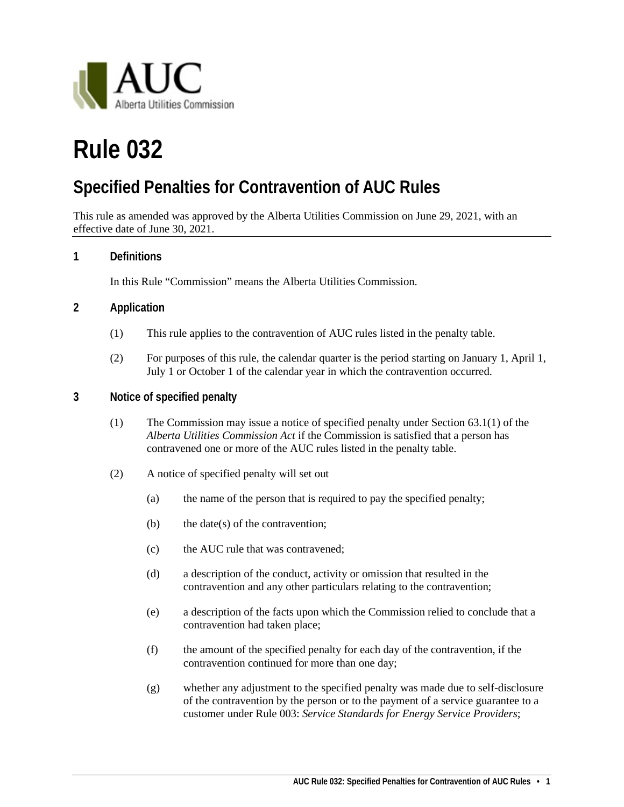

# **Rule 032**

## **Specified Penalties for Contravention of AUC Rules**

This rule as amended was approved by the Alberta Utilities Commission on June 29, 2021, with an effective date of June 30, 2021.

#### **1 Definitions**

In this Rule "Commission" means the Alberta Utilities Commission.

#### **2 Application**

- (1) This rule applies to the contravention of AUC rules listed in the penalty table.
- (2) For purposes of this rule, the calendar quarter is the period starting on January 1, April 1, July 1 or October 1 of the calendar year in which the contravention occurred.

#### **3 Notice of specified penalty**

- (1) The Commission may issue a notice of specified penalty under Section 63.1(1) of the *Alberta Utilities Commission Act* if the Commission is satisfied that a person has contravened one or more of the AUC rules listed in the penalty table.
- (2) A notice of specified penalty will set out
	- (a) the name of the person that is required to pay the specified penalty;
	- (b) the date(s) of the contravention;
	- (c) the AUC rule that was contravened;
	- (d) a description of the conduct, activity or omission that resulted in the contravention and any other particulars relating to the contravention;
	- (e) a description of the facts upon which the Commission relied to conclude that a contravention had taken place;
	- (f) the amount of the specified penalty for each day of the contravention, if the contravention continued for more than one day;
	- (g) whether any adjustment to the specified penalty was made due to self-disclosure of the contravention by the person or to the payment of a service guarantee to a customer under Rule 003: *Service Standards for Energy Service Providers*;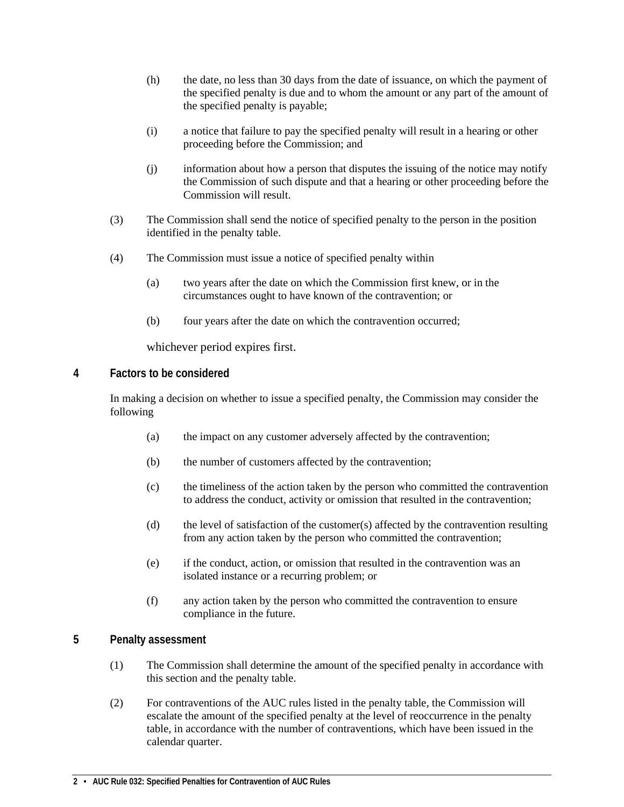- (h) the date, no less than 30 days from the date of issuance, on which the payment of the specified penalty is due and to whom the amount or any part of the amount of the specified penalty is payable;
- (i) a notice that failure to pay the specified penalty will result in a hearing or other proceeding before the Commission; and
- (j) information about how a person that disputes the issuing of the notice may notify the Commission of such dispute and that a hearing or other proceeding before the Commission will result.
- (3) The Commission shall send the notice of specified penalty to the person in the position identified in the penalty table.
- (4) The Commission must issue a notice of specified penalty within
	- (a) two years after the date on which the Commission first knew, or in the circumstances ought to have known of the contravention; or
	- (b) four years after the date on which the contravention occurred;

whichever period expires first.

#### **4 Factors to be considered**

In making a decision on whether to issue a specified penalty, the Commission may consider the following

- (a) the impact on any customer adversely affected by the contravention;
- (b) the number of customers affected by the contravention;
- (c) the timeliness of the action taken by the person who committed the contravention to address the conduct, activity or omission that resulted in the contravention;
- (d) the level of satisfaction of the customer(s) affected by the contravention resulting from any action taken by the person who committed the contravention;
- (e) if the conduct, action, or omission that resulted in the contravention was an isolated instance or a recurring problem; or
- (f) any action taken by the person who committed the contravention to ensure compliance in the future.

#### **5 Penalty assessment**

- (1) The Commission shall determine the amount of the specified penalty in accordance with this section and the penalty table.
- (2) For contraventions of the AUC rules listed in the penalty table, the Commission will escalate the amount of the specified penalty at the level of reoccurrence in the penalty table, in accordance with the number of contraventions, which have been issued in the calendar quarter.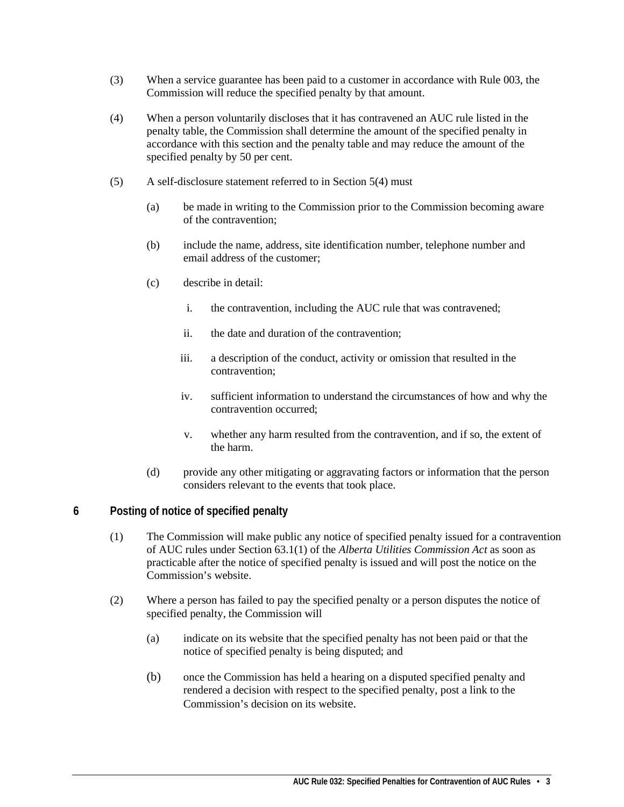- (3) When a service guarantee has been paid to a customer in accordance with Rule 003, the Commission will reduce the specified penalty by that amount.
- (4) When a person voluntarily discloses that it has contravened an AUC rule listed in the penalty table, the Commission shall determine the amount of the specified penalty in accordance with this section and the penalty table and may reduce the amount of the specified penalty by 50 per cent.
- (5) A self-disclosure statement referred to in Section 5(4) must
	- (a) be made in writing to the Commission prior to the Commission becoming aware of the contravention;
	- (b) include the name, address, site identification number, telephone number and email address of the customer;
	- (c) describe in detail:
		- i. the contravention, including the AUC rule that was contravened;
		- ii. the date and duration of the contravention;
		- iii. a description of the conduct, activity or omission that resulted in the contravention;
		- iv. sufficient information to understand the circumstances of how and why the contravention occurred;
		- v. whether any harm resulted from the contravention, and if so, the extent of the harm.
	- (d) provide any other mitigating or aggravating factors or information that the person considers relevant to the events that took place.

#### **6 Posting of notice of specified penalty**

- (1) The Commission will make public any notice of specified penalty issued for a contravention of AUC rules under Section 63.1(1) of the *Alberta Utilities Commission Act* as soon as practicable after the notice of specified penalty is issued and will post the notice on the Commission's website.
- (2) Where a person has failed to pay the specified penalty or a person disputes the notice of specified penalty, the Commission will
	- (a) indicate on its website that the specified penalty has not been paid or that the notice of specified penalty is being disputed; and
	- (b) once the Commission has held a hearing on a disputed specified penalty and rendered a decision with respect to the specified penalty, post a link to the Commission's decision on its website.